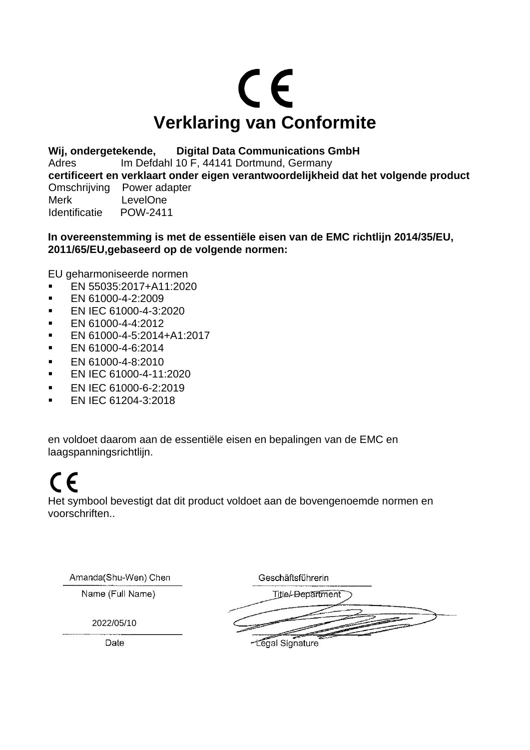# CE **Verklaring van Conformite**

**Wij, ondergetekende, Digital Data Communications GmbH** Adres Im Defdahl 10 F, 44141 Dortmund, Germany **certificeert en verklaart onder eigen verantwoordelijkheid dat het volgende product**  Omschrijving Power adapter Merk LevelOne<br>
Identificatie POW-2411 **Identificatie** 

#### **In overeenstemming is met de essentiële eisen van de EMC richtlijn 2014/35/EU, 2011/65/EU,gebaseerd op de volgende normen:**

EU geharmoniseerde normen

- EN 55035:2017+A11:2020
- **EN 61000-4-2:2009**
- **EN IEC 61000-4-3:2020**
- EN 61000-4-4:2012
- EN 61000-4-5:2014+A1:2017
- **EN 61000-4-6:2014**
- **EN 61000-4-8:2010**
- EN IEC 61000-4-11:2020
- **EN IEC 61000-6-2:2019**
- EN IEC 61204-3:2018

en voldoet daarom aan de essentiële eisen en bepalingen van de EMC en laagspanningsrichtlijn.

# $\epsilon$

Het symbool bevestigt dat dit product voldoet aan de bovengenoemde normen en voorschriften..

Amanda(Shu-Wen) Chen

Name (Full Name)

Geschäftsführerin

2022/05/10

Title/-Department

Date

-Legal Signature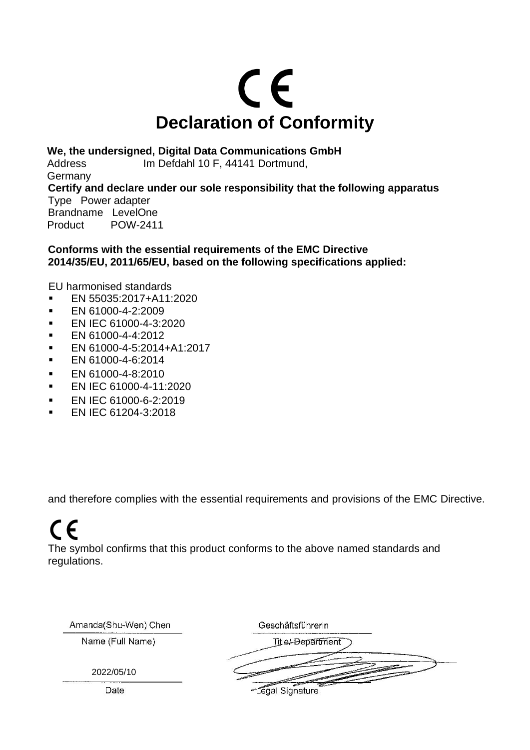

**We, the undersigned, Digital Data Communications GmbH**

Address Im Defdahl 10 F, 44141 Dortmund, **Germany Certify and declare under our sole responsibility that the following apparatus**  Type Power adapter Brandname LevelOne Product POW-2411

**Conforms with the essential requirements of the EMC Directive 2014/35/EU, 2011/65/EU, based on the following specifications applied:**

EU harmonised standards

- EN 55035:2017+A11:2020
- **EN 61000-4-2:2009**
- **EN IEC 61000-4-3:2020**
- **EN 61000-4-4:2012**
- EN 61000-4-5:2014+A1:2017
- EN 61000-4-6:2014
- **EN 61000-4-8:2010**
- **EN IEC 61000-4-11:2020**
- **EN IEC 61000-6-2:2019**
- EN IEC 61204-3:2018

and therefore complies with the essential requirements and provisions of the EMC Directive.

### $\epsilon$

The symbol confirms that this product conforms to the above named standards and regulations.

| Amanda(Shu-Wen) Chen | Geschäftsführerin                            |
|----------------------|----------------------------------------------|
| Name (Full Name)     | <b>Title/-Department</b>                     |
| 2022/05/10           |                                              |
| Date                 | $\overline{\phantom{a}}$<br>-Legal Signature |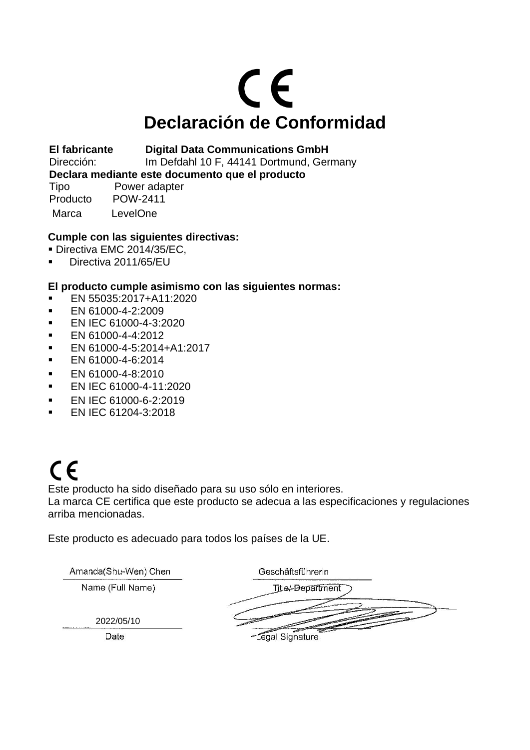# CE **Declaración de Conformidad**

**El fabricante Digital Data Communications GmbH** 

Dirección: Im Defdahl 10 F, 44141 Dortmund, Germany

**Declara mediante este documento que el producto**

Tipo Power adapter Producto POW-2411 Marca LevelOne

#### **Cumple con las siguientes directivas:**

- **Directiva EMC 2014/35/EC.**
- Directiva 2011/65/EU

#### **El producto cumple asimismo con las siguientes normas:**

- EN 55035:2017+A11:2020
- **EN 61000-4-2:2009**
- **EN IEC 61000-4-3:2020**
- **EN 61000-4-4:2012**
- EN 61000-4-5:2014+A1:2017
- EN 61000-4-6:2014
- **EN 61000-4-8:2010**
- EN IEC 61000-4-11:2020
- EN IEC 61000-6-2:2019
- **EN IEC 61204-3:2018**

# $C \in$

Este producto ha sido diseñado para su uso sólo en interiores.

La marca CE certifica que este producto se adecua a las especificaciones y regulaciones arriba mencionadas.

Este producto es adecuado para todos los países de la UE.

| Amanda(Shu-Wen) Chen | Geschäftsführerin        |
|----------------------|--------------------------|
| Name (Full Name)     | <b>Title/-Department</b> |
|                      |                          |
| 2022/05/10           |                          |
| Date                 | -Legal Signature         |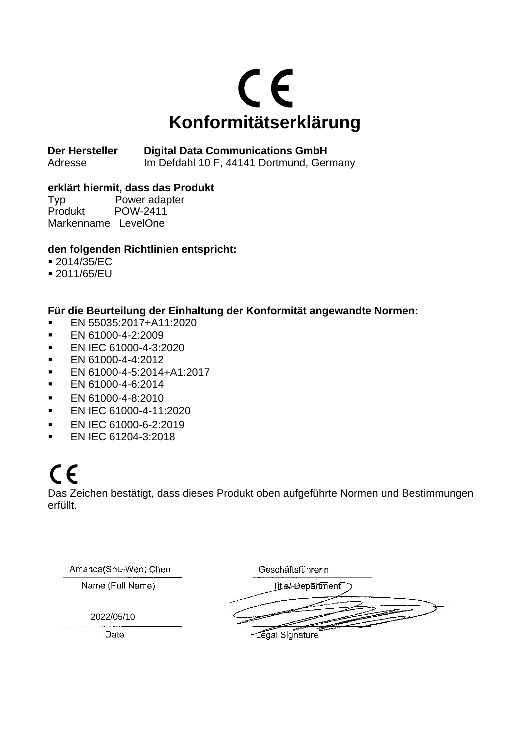

**Der Hersteller Digital Data Communications GmbH**  Adresse Im Defdahl 10 F, 44141 Dortmund, Germany

#### **erklärt hiermit, dass das Produkt**

Typ Power adapter Produkt POW-2411 Markenname LevelOne

#### **den folgenden Richtlinien entspricht:**

- 2014/35/EC
- 2011/65/EU

#### **Für die Beurteilung der Einhaltung der Konformität angewandte Normen:**

- EN 55035:2017+A11:2020
- **EN 61000-4-2:2009**
- **EN IEC 61000-4-3:2020**
- EN 61000-4-4:2012
- EN 61000-4-5:2014+A1:2017
- EN 61000-4-6:2014
- EN 61000-4-8:2010
- EN IEC 61000-4-11:2020
- **EN IFC 61000-6-2:2019**
- **EN IEC 61204-3:2018**

### $\epsilon$

Das Zeichen bestätigt, dass dieses Produkt oben aufgeführte Normen und Bestimmungen erfüllt.

| Amanda(Shu-Wen) Chen | Geschäftsführerin |
|----------------------|-------------------|
| Name (Full Name)     | Title/-Department |
|                      |                   |
| 2022/05/10           |                   |
| Date                 | -Legal Signature  |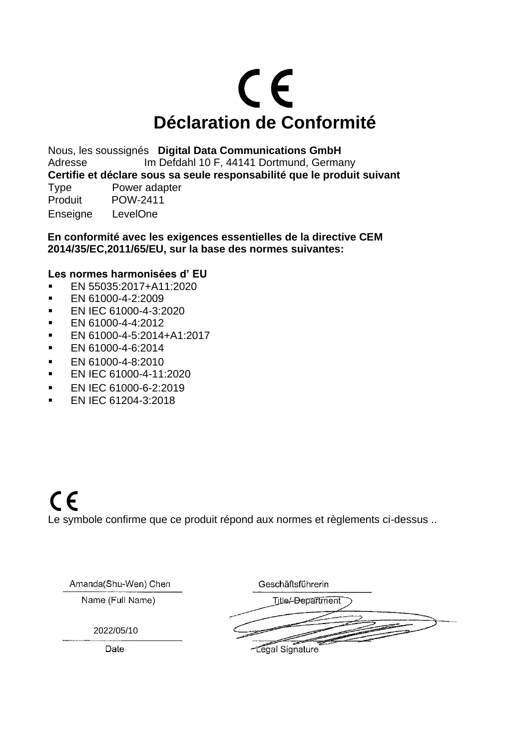# CE **Déclaration de Conformité**

Nous, les soussignés **Digital Data Communications GmbH** Adresse Im Defdahl 10 F, 44141 Dortmund, Germany **Certifie et déclare sous sa seule responsabilité que le produit suivant** Type Power adapter Produit POW-2411 Enseigne LevelOne

**En conformité avec les exigences essentielles de la directive CEM 2014/35/EC,2011/65/EU, sur la base des normes suivantes:**

#### **Les normes harmonisées d' EU**

- EN 55035:2017+A11:2020
- **EN 61000-4-2:2009**
- EN IEC 61000-4-3:2020
- **EN 61000-4-4:2012**
- EN 61000-4-5:2014+A1:2017
- $\blacksquare$  EN 61000-4-6:2014
- **EN 61000-4-8:2010**
- EN IEC 61000-4-11:2020
- **EN IEC 61000-6-2:2019**
- EN IEC 61204-3:2018

### $C \in$ Le symbole confirme que ce produit répond aux normes et règlements ci-dessus ..

| Amanda(Shu-Wen) Chen | Geschäftsführerin            |
|----------------------|------------------------------|
| Name (Full Name)     | Title/-Department            |
|                      |                              |
| 2022/05/10           |                              |
| Date                 | <b>Contract</b><br>Signature |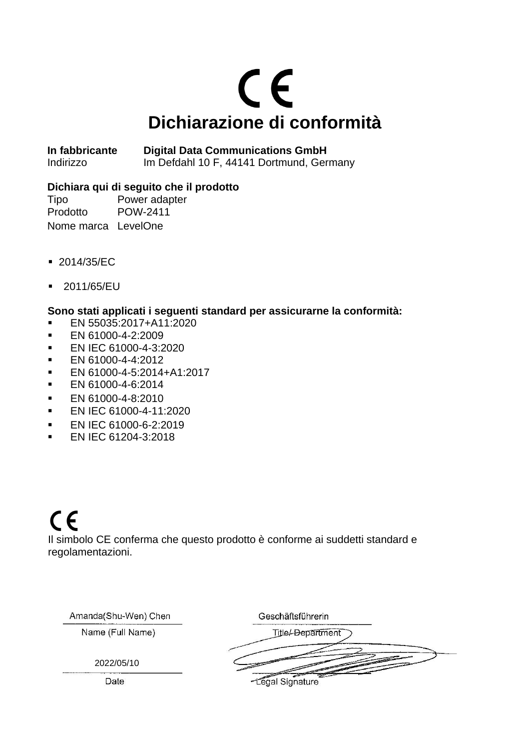# $C<sub>f</sub>$ **Dichiarazione di conformità**

**In fabbricante Digital Data Communications GmbH**  Indirizzo Im Defdahl 10 F, 44141 Dortmund, Germany

#### **Dichiara qui di seguito che il prodotto**

Tipo Power adapter Prodotto POW-2411 Nome marca LevelOne

- 2014/35/EC
- 2011/65/EU

#### **Sono stati applicati i seguenti standard per assicurarne la conformità:**

- EN 55035:2017+A11:2020
- **EN 61000-4-2:2009**
- **EN IEC 61000-4-3:2020**
- EN 61000-4-4:2012
- EN 61000-4-5:2014+A1:2017
- **EN 61000-4-6:2014**
- **EN 61000-4-8:2010**
- EN IEC 61000-4-11:2020
- **EN IFC 61000-6-2:2019**
- **EN IEC 61204-3:2018**

### $C \in$

Il simbolo CE conferma che questo prodotto è conforme ai suddetti standard e regolamentazioni.

| Amanda(Shu-Wen) Chen | Geschäftsführerin        |
|----------------------|--------------------------|
| Name (Full Name)     | <b>Title/-Department</b> |
| 2022/05/10           |                          |
| Date                 | -Legal Signature         |